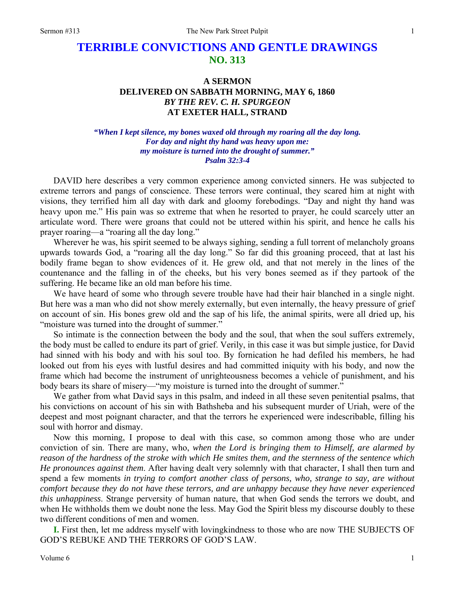# **TERRIBLE CONVICTIONS AND GENTLE DRAWINGS NO. 313**

## **A SERMON DELIVERED ON SABBATH MORNING, MAY 6, 1860**  *BY THE REV. C. H. SPURGEON*  **AT EXETER HALL, STRAND**

*"When I kept silence, my bones waxed old through my roaring all the day long. For day and night thy hand was heavy upon me: my moisture is turned into the drought of summer." Psalm 32:3-4* 

DAVID here describes a very common experience among convicted sinners. He was subjected to extreme terrors and pangs of conscience. These terrors were continual, they scared him at night with visions, they terrified him all day with dark and gloomy forebodings. "Day and night thy hand was heavy upon me." His pain was so extreme that when he resorted to prayer, he could scarcely utter an articulate word. There were groans that could not be uttered within his spirit, and hence he calls his prayer roaring—a "roaring all the day long."

Wherever he was, his spirit seemed to be always sighing, sending a full torrent of melancholy groans upwards towards God, a "roaring all the day long." So far did this groaning proceed, that at last his bodily frame began to show evidences of it. He grew old, and that not merely in the lines of the countenance and the falling in of the cheeks, but his very bones seemed as if they partook of the suffering. He became like an old man before his time.

We have heard of some who through severe trouble have had their hair blanched in a single night. But here was a man who did not show merely externally, but even internally, the heavy pressure of grief on account of sin. His bones grew old and the sap of his life, the animal spirits, were all dried up, his "moisture was turned into the drought of summer."

So intimate is the connection between the body and the soul, that when the soul suffers extremely, the body must be called to endure its part of grief. Verily, in this case it was but simple justice, for David had sinned with his body and with his soul too. By fornication he had defiled his members, he had looked out from his eyes with lustful desires and had committed iniquity with his body, and now the frame which had become the instrument of unrighteousness becomes a vehicle of punishment, and his body bears its share of misery—"my moisture is turned into the drought of summer."

We gather from what David says in this psalm, and indeed in all these seven penitential psalms, that his convictions on account of his sin with Bathsheba and his subsequent murder of Uriah, were of the deepest and most poignant character, and that the terrors he experienced were indescribable, filling his soul with horror and dismay.

Now this morning, I propose to deal with this case, so common among those who are under conviction of sin. There are many, who, *when the Lord is bringing them to Himself, are alarmed by reason of the hardness of the stroke with which He smites them, and the sternness of the sentence which He pronounces against them*. After having dealt very solemnly with that character, I shall then turn and spend a few moments *in trying to comfort another class of persons, who, strange to say, are without comfort because they do not have these terrors, and are unhappy because they have never experienced this unhappiness*. Strange perversity of human nature, that when God sends the terrors we doubt, and when He withholds them we doubt none the less. May God the Spirit bless my discourse doubly to these two different conditions of men and women.

**I.** First then, let me address myself with lovingkindness to those who are now THE SUBJECTS OF GOD'S REBUKE AND THE TERRORS OF GOD'S LAW.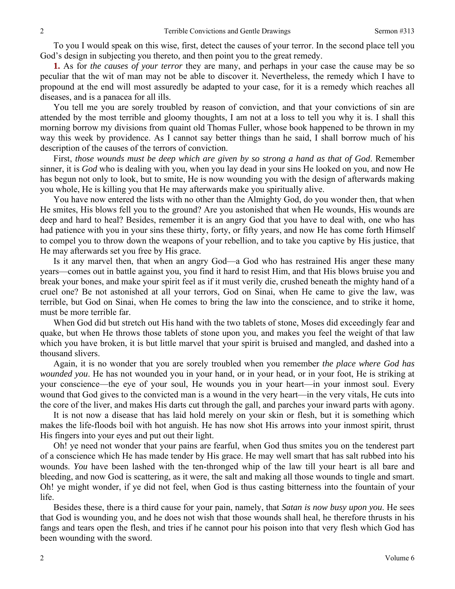To you I would speak on this wise, first, detect the causes of your terror. In the second place tell you God's design in subjecting you thereto, and then point you to the great remedy.

**1.** As for *the causes of your terror* they are many, and perhaps in your case the cause may be so peculiar that the wit of man may not be able to discover it. Nevertheless, the remedy which I have to propound at the end will most assuredly be adapted to your case, for it is a remedy which reaches all diseases, and is a panacea for all ills.

You tell me you are sorely troubled by reason of conviction, and that your convictions of sin are attended by the most terrible and gloomy thoughts, I am not at a loss to tell you why it is. I shall this morning borrow my divisions from quaint old Thomas Fuller, whose book happened to be thrown in my way this week by providence. As I cannot say better things than he said, I shall borrow much of his description of the causes of the terrors of conviction.

First, *those wounds must be deep which are given by so strong a hand as that of God*. Remember sinner, it is *God* who is dealing with you, when you lay dead in your sins He looked on you, and now He has begun not only to look, but to smite, He is now wounding you with the design of afterwards making you whole, He is killing you that He may afterwards make you spiritually alive.

You have now entered the lists with no other than the Almighty God, do you wonder then, that when He smites, His blows fell you to the ground? Are you astonished that when He wounds, His wounds are deep and hard to heal? Besides, remember it is an angry God that you have to deal with, one who has had patience with you in your sins these thirty, forty, or fifty years, and now He has come forth Himself to compel you to throw down the weapons of your rebellion, and to take you captive by His justice, that He may afterwards set you free by His grace.

Is it any marvel then, that when an angry God—a God who has restrained His anger these many years—comes out in battle against you, you find it hard to resist Him, and that His blows bruise you and break your bones, and make your spirit feel as if it must verily die, crushed beneath the mighty hand of a cruel one? Be not astonished at all your terrors, God on Sinai, when He came to give the law, was terrible, but God on Sinai, when He comes to bring the law into the conscience, and to strike it home, must be more terrible far.

When God did but stretch out His hand with the two tablets of stone, Moses did exceedingly fear and quake, but when He throws those tablets of stone upon you, and makes you feel the weight of that law which you have broken, it is but little marvel that your spirit is bruised and mangled, and dashed into a thousand slivers.

Again, it is no wonder that you are sorely troubled when you remember *the place where God has wounded you*. He has not wounded you in your hand, or in your head, or in your foot, He is striking at your conscience—the eye of your soul, He wounds you in your heart—in your inmost soul. Every wound that God gives to the convicted man is a wound in the very heart—in the very vitals, He cuts into the core of the liver, and makes His darts cut through the gall, and parches your inward parts with agony.

It is not now a disease that has laid hold merely on your skin or flesh, but it is something which makes the life-floods boil with hot anguish. He has now shot His arrows into your inmost spirit, thrust His fingers into your eyes and put out their light.

Oh! ye need not wonder that your pains are fearful, when God thus smites you on the tenderest part of a conscience which He has made tender by His grace. He may well smart that has salt rubbed into his wounds. *You* have been lashed with the ten-thronged whip of the law till your heart is all bare and bleeding, and now God is scattering, as it were, the salt and making all those wounds to tingle and smart. Oh! ye might wonder, if ye did not feel, when God is thus casting bitterness into the fountain of your life.

Besides these, there is a third cause for your pain, namely, that *Satan is now busy upon you*. He sees that God is wounding you, and he does not wish that those wounds shall heal, he therefore thrusts in his fangs and tears open the flesh, and tries if he cannot pour his poison into that very flesh which God has been wounding with the sword.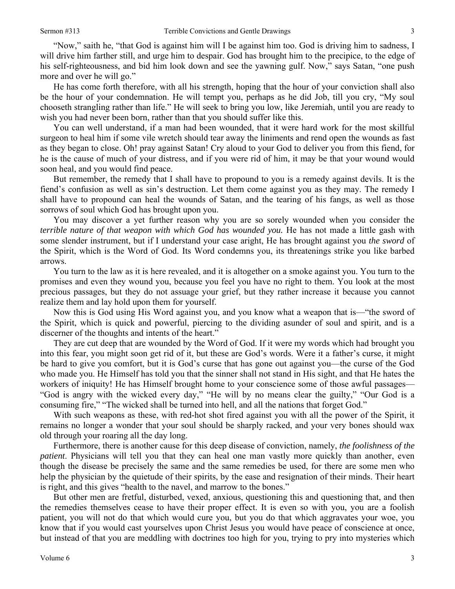"Now," saith he, "that God is against him will I be against him too. God is driving him to sadness, I will drive him farther still, and urge him to despair. God has brought him to the precipice, to the edge of his self-righteousness, and bid him look down and see the yawning gulf. Now," says Satan, "one push more and over he will go."

He has come forth therefore, with all his strength, hoping that the hour of your conviction shall also be the hour of your condemnation. He will tempt you, perhaps as he did Job, till you cry, "My soul chooseth strangling rather than life." He will seek to bring you low, like Jeremiah, until you are ready to wish you had never been born, rather than that you should suffer like this.

You can well understand, if a man had been wounded, that it were hard work for the most skillful surgeon to heal him if some vile wretch should tear away the liniments and rend open the wounds as fast as they began to close. Oh! pray against Satan! Cry aloud to your God to deliver you from this fiend, for he is the cause of much of your distress, and if you were rid of him, it may be that your wound would soon heal, and you would find peace.

But remember, the remedy that I shall have to propound to you is a remedy against devils. It is the fiend's confusion as well as sin's destruction. Let them come against you as they may. The remedy I shall have to propound can heal the wounds of Satan, and the tearing of his fangs, as well as those sorrows of soul which God has brought upon you.

You may discover a yet further reason why you are so sorely wounded when you consider the *terrible nature of that weapon with which God has wounded you.* He has not made a little gash with some slender instrument, but if I understand your case aright, He has brought against you *the sword* of the Spirit, which is the Word of God. Its Word condemns you, its threatenings strike you like barbed arrows.

You turn to the law as it is here revealed, and it is altogether on a smoke against you. You turn to the promises and even they wound you, because you feel you have no right to them. You look at the most precious passages, but they do not assuage your grief, but they rather increase it because you cannot realize them and lay hold upon them for yourself.

Now this is God using His Word against you, and you know what a weapon that is—"the sword of the Spirit, which is quick and powerful, piercing to the dividing asunder of soul and spirit, and is a discerner of the thoughts and intents of the heart."

They are cut deep that are wounded by the Word of God. If it were my words which had brought you into this fear, you might soon get rid of it, but these are God's words. Were it a father's curse, it might be hard to give you comfort, but it is God's curse that has gone out against you—the curse of the God who made you. He Himself has told you that the sinner shall not stand in His sight, and that He hates the workers of iniquity! He has Himself brought home to your conscience some of those awful passages— "God is angry with the wicked every day," "He will by no means clear the guilty," "Our God is a consuming fire," "The wicked shall be turned into hell, and all the nations that forget God."

With such weapons as these, with red-hot shot fired against you with all the power of the Spirit, it remains no longer a wonder that your soul should be sharply racked, and your very bones should wax old through your roaring all the day long.

Furthermore, there is another cause for this deep disease of conviction, namely, *the foolishness of the patient*. Physicians will tell you that they can heal one man vastly more quickly than another, even though the disease be precisely the same and the same remedies be used, for there are some men who help the physician by the quietude of their spirits, by the ease and resignation of their minds. Their heart is right, and this gives "health to the navel, and marrow to the bones."

But other men are fretful, disturbed, vexed, anxious, questioning this and questioning that, and then the remedies themselves cease to have their proper effect. It is even so with you, you are a foolish patient, you will not do that which would cure you, but you do that which aggravates your woe, you know that if you would cast yourselves upon Christ Jesus you would have peace of conscience at once, but instead of that you are meddling with doctrines too high for you, trying to pry into mysteries which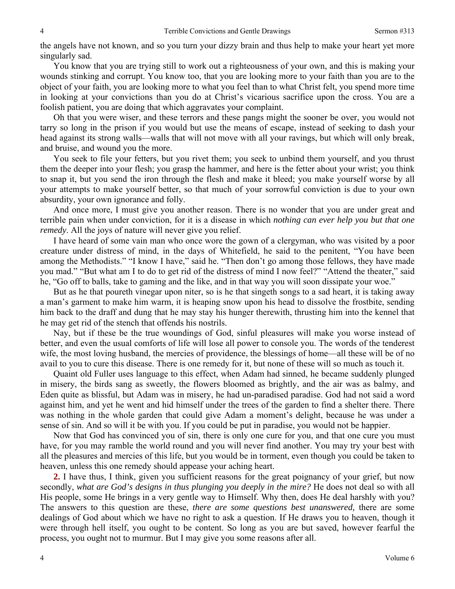the angels have not known, and so you turn your dizzy brain and thus help to make your heart yet more singularly sad.

You know that you are trying still to work out a righteousness of your own, and this is making your wounds stinking and corrupt. You know too, that you are looking more to your faith than you are to the object of your faith, you are looking more to what you feel than to what Christ felt, you spend more time in looking at your convictions than you do at Christ's vicarious sacrifice upon the cross. You are a foolish patient, you are doing that which aggravates your complaint.

Oh that you were wiser, and these terrors and these pangs might the sooner be over, you would not tarry so long in the prison if you would but use the means of escape, instead of seeking to dash your head against its strong walls—walls that will not move with all your ravings, but which will only break, and bruise, and wound you the more.

You seek to file your fetters, but you rivet them; you seek to unbind them yourself, and you thrust them the deeper into your flesh; you grasp the hammer, and here is the fetter about your wrist; you think to snap it, but you send the iron through the flesh and make it bleed; you make yourself worse by all your attempts to make yourself better, so that much of your sorrowful conviction is due to your own absurdity, your own ignorance and folly.

And once more, I must give you another reason. There is no wonder that you are under great and terrible pain when under conviction, for it is a disease in which *nothing can ever help you but that one remedy*. All the joys of nature will never give you relief.

I have heard of some vain man who once wore the gown of a clergyman, who was visited by a poor creature under distress of mind, in the days of Whitefield, he said to the penitent, "You have been among the Methodists." "I know I have," said he. "Then don't go among those fellows, they have made you mad." "But what am I to do to get rid of the distress of mind I now feel?" "Attend the theater," said he, "Go off to balls, take to gaming and the like, and in that way you will soon dissipate your woe."

But as he that poureth vinegar upon niter, so is he that singeth songs to a sad heart, it is taking away a man's garment to make him warm, it is heaping snow upon his head to dissolve the frostbite, sending him back to the draff and dung that he may stay his hunger therewith, thrusting him into the kennel that he may get rid of the stench that offends his nostrils.

Nay, but if these be the true woundings of God, sinful pleasures will make you worse instead of better, and even the usual comforts of life will lose all power to console you. The words of the tenderest wife, the most loving husband, the mercies of providence, the blessings of home—all these will be of no avail to you to cure this disease. There is one remedy for it, but none of these will so much as touch it.

Quaint old Fuller uses language to this effect, when Adam had sinned, he became suddenly plunged in misery, the birds sang as sweetly, the flowers bloomed as brightly, and the air was as balmy, and Eden quite as blissful, but Adam was in misery, he had un-paradised paradise. God had not said a word against him, and yet he went and hid himself under the trees of the garden to find a shelter there. There was nothing in the whole garden that could give Adam a moment's delight, because he was under a sense of sin. And so will it be with you. If you could be put in paradise, you would not be happier.

Now that God has convinced you of sin, there is only one cure for you, and that one cure you must have, for you may ramble the world round and you will never find another. You may try your best with all the pleasures and mercies of this life, but you would be in torment, even though you could be taken to heaven, unless this one remedy should appease your aching heart.

**2.** I have thus, I think, given you sufficient reasons for the great poignancy of your grief, but now secondly, *what are God's designs in thus plunging you deeply in the mire?* He does not deal so with all His people, some He brings in a very gentle way to Himself. Why then, does He deal harshly with you? The answers to this question are these, *there are some questions best unanswered,* there are some dealings of God about which we have no right to ask a question. If He draws you to heaven, though it were through hell itself, you ought to be content. So long as you are but saved, however fearful the process, you ought not to murmur. But I may give you some reasons after all.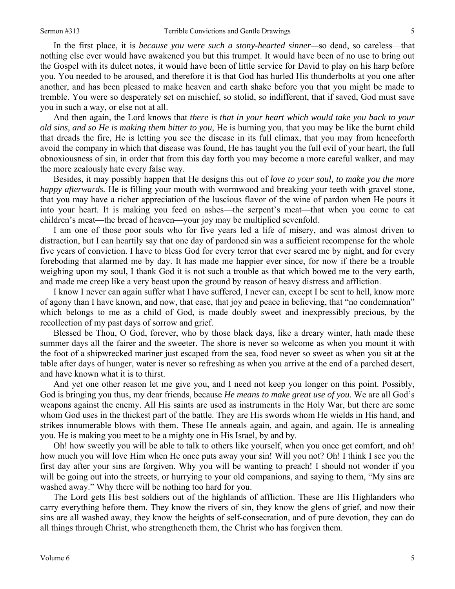In the first place, it is *because you were such a stony-hearted sinner—*so dead, so careless—that

nothing else ever would have awakened you but this trumpet. It would have been of no use to bring out the Gospel with its dulcet notes, it would have been of little service for David to play on his harp before you. You needed to be aroused, and therefore it is that God has hurled His thunderbolts at you one after another, and has been pleased to make heaven and earth shake before you that you might be made to tremble. You were so desperately set on mischief, so stolid, so indifferent, that if saved, God must save you in such a way, or else not at all.

And then again, the Lord knows that *there is that in your heart which would take you back to your old sins, and so He is making them bitter to you,* He is burning you, that you may be like the burnt child that dreads the fire, He is letting you see the disease in its full climax, that you may from henceforth avoid the company in which that disease was found, He has taught you the full evil of your heart, the full obnoxiousness of sin, in order that from this day forth you may become a more careful walker, and may the more zealously hate every false way.

Besides, it may possibly happen that He designs this out of *love to your soul, to make you the more happy afterwards.* He is filling your mouth with wormwood and breaking your teeth with gravel stone, that you may have a richer appreciation of the luscious flavor of the wine of pardon when He pours it into your heart. It is making you feed on ashes—the serpent's meat—that when you come to eat children's meat—the bread of heaven—your joy may be multiplied sevenfold.

I am one of those poor souls who for five years led a life of misery, and was almost driven to distraction, but I can heartily say that one day of pardoned sin was a sufficient recompense for the whole five years of conviction. I have to bless God for every terror that ever seared me by night, and for every foreboding that alarmed me by day. It has made me happier ever since, for now if there be a trouble weighing upon my soul, I thank God it is not such a trouble as that which bowed me to the very earth, and made me creep like a very beast upon the ground by reason of heavy distress and affliction.

I know I never can again suffer what I have suffered, I never can, except I be sent to hell, know more of agony than I have known, and now, that ease, that joy and peace in believing, that "no condemnation" which belongs to me as a child of God, is made doubly sweet and inexpressibly precious, by the recollection of my past days of sorrow and grief.

Blessed be Thou, O God, forever, who by those black days, like a dreary winter, hath made these summer days all the fairer and the sweeter. The shore is never so welcome as when you mount it with the foot of a shipwrecked mariner just escaped from the sea, food never so sweet as when you sit at the table after days of hunger, water is never so refreshing as when you arrive at the end of a parched desert, and have known what it is to thirst.

And yet one other reason let me give you, and I need not keep you longer on this point. Possibly, God is bringing you thus, my dear friends, because *He means to make great use of you.* We are all God's weapons against the enemy. All His saints are used as instruments in the Holy War, but there are some whom God uses in the thickest part of the battle. They are His swords whom He wields in His hand, and strikes innumerable blows with them. These He anneals again, and again, and again. He is annealing you. He is making you meet to be a mighty one in His Israel, by and by.

Oh! how sweetly you will be able to talk to others like yourself, when you once get comfort, and oh! how much you will love Him when He once puts away your sin! Will you not? Oh! I think I see you the first day after your sins are forgiven. Why you will be wanting to preach! I should not wonder if you will be going out into the streets, or hurrying to your old companions, and saying to them, "My sins are washed away." Why there will be nothing too hard for you.

The Lord gets His best soldiers out of the highlands of affliction. These are His Highlanders who carry everything before them. They know the rivers of sin, they know the glens of grief, and now their sins are all washed away, they know the heights of self-consecration, and of pure devotion, they can do all things through Christ, who strengtheneth them, the Christ who has forgiven them.

5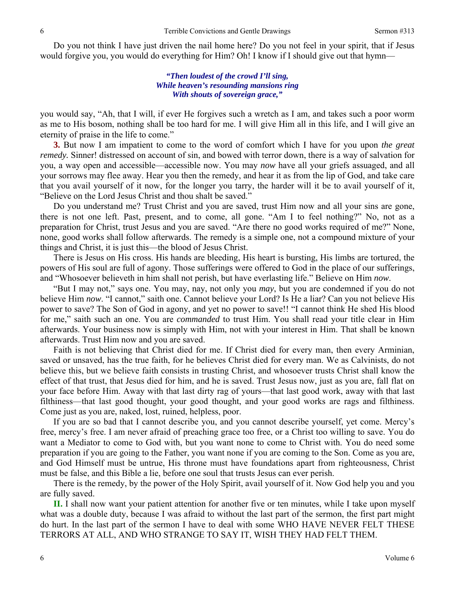Do you not think I have just driven the nail home here? Do you not feel in your spirit, that if Jesus would forgive you, you would do everything for Him? Oh! I know if I should give out that hymn—

### *"Then loudest of the crowd I'll sing, While heaven's resounding mansions ring With shouts of sovereign grace,"*

you would say, "Ah, that I will, if ever He forgives such a wretch as I am, and takes such a poor worm as me to His bosom, nothing shall be too hard for me. I will give Him all in this life, and I will give an eternity of praise in the life to come."

**3.** But now I am impatient to come to the word of comfort which I have for you upon *the great remedy.* Sinner! distressed on account of sin, and bowed with terror down, there is a way of salvation for you, a way open and accessible—accessible now. You may *now* have all your griefs assuaged, and all your sorrows may flee away. Hear you then the remedy, and hear it as from the lip of God, and take care that you avail yourself of it now, for the longer you tarry, the harder will it be to avail yourself of it, "Believe on the Lord Jesus Christ and thou shalt be saved."

Do you understand me? Trust Christ and you are saved, trust Him now and all your sins are gone, there is not one left. Past, present, and to come, all gone. "Am I to feel nothing?" No, not as a preparation for Christ, trust Jesus and you are saved. "Are there no good works required of me?" None, none, good works shall follow afterwards. The remedy is a simple one, not a compound mixture of your things and Christ, it is just this—the blood of Jesus Christ.

There is Jesus on His cross. His hands are bleeding, His heart is bursting, His limbs are tortured, the powers of His soul are full of agony. Those sufferings were offered to God in the place of our sufferings, and "Whosoever believeth in him shall not perish, but have everlasting life." Believe on Him *now*.

"But I may not," says one. You may, nay, not only you *may*, but you are condemned if you do not believe Him *now*. "I cannot," saith one. Cannot believe your Lord? Is He a liar? Can you not believe His power to save? The Son of God in agony, and yet no power to save!! "I cannot think He shed His blood for me," saith such an one. You are *commanded* to trust Him. You shall read your title clear in Him afterwards. Your business now is simply with Him, not with your interest in Him. That shall be known afterwards. Trust Him now and you are saved.

Faith is not believing that Christ died for me. If Christ died for every man, then every Arminian, saved or unsaved, has the true faith, for he believes Christ died for every man. We as Calvinists, do not believe this, but we believe faith consists in trusting Christ, and whosoever trusts Christ shall know the effect of that trust, that Jesus died for him, and he is saved. Trust Jesus now, just as you are, fall flat on your face before Him. Away with that last dirty rag of yours—that last good work, away with that last filthiness—that last good thought, your good thought, and your good works are rags and filthiness. Come just as you are, naked, lost, ruined, helpless, poor.

If you are so bad that I cannot describe you, and you cannot describe yourself, yet come. Mercy's free, mercy's free. I am never afraid of preaching grace too free, or a Christ too willing to save. You do want a Mediator to come to God with, but you want none to come to Christ with. You do need some preparation if you are going to the Father, you want none if you are coming to the Son. Come as you are, and God Himself must be untrue, His throne must have foundations apart from righteousness, Christ must be false, and this Bible a lie, before one soul that trusts Jesus can ever perish.

There is the remedy, by the power of the Holy Spirit, avail yourself of it. Now God help you and you are fully saved.

**II.** I shall now want your patient attention for another five or ten minutes, while I take upon myself what was a double duty, because I was afraid to without the last part of the sermon, the first part might do hurt. In the last part of the sermon I have to deal with some WHO HAVE NEVER FELT THESE TERRORS AT ALL, AND WHO STRANGE TO SAY IT, WISH THEY HAD FELT THEM.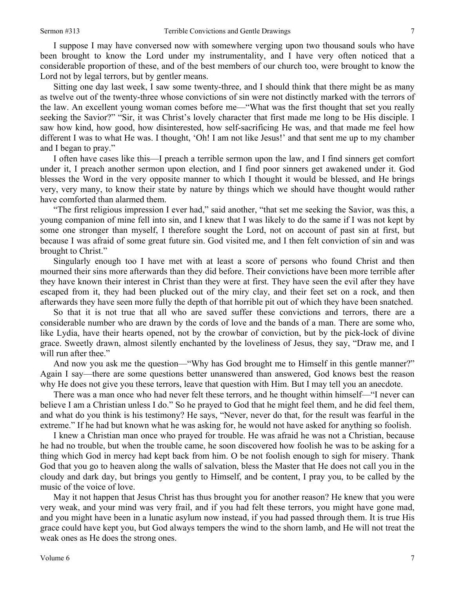I suppose I may have conversed now with somewhere verging upon two thousand souls who have been brought to know the Lord under my instrumentality, and I have very often noticed that a considerable proportion of these, and of the best members of our church too, were brought to know the Lord not by legal terrors, but by gentler means.

Sitting one day last week, I saw some twenty-three, and I should think that there might be as many as twelve out of the twenty-three whose convictions of sin were not distinctly marked with the terrors of the law. An excellent young woman comes before me—"What was the first thought that set you really seeking the Savior?" "Sir, it was Christ's lovely character that first made me long to be His disciple. I saw how kind, how good, how disinterested, how self-sacrificing He was, and that made me feel how different I was to what He was. I thought, 'Oh! I am not like Jesus!' and that sent me up to my chamber and I began to pray."

I often have cases like this—I preach a terrible sermon upon the law, and I find sinners get comfort under it, I preach another sermon upon election, and I find poor sinners get awakened under it. God blesses the Word in the very opposite manner to which I thought it would be blessed, and He brings very, very many, to know their state by nature by things which we should have thought would rather have comforted than alarmed them.

"The first religious impression I ever had," said another, "that set me seeking the Savior, was this, a young companion of mine fell into sin, and I knew that I was likely to do the same if I was not kept by some one stronger than myself, I therefore sought the Lord, not on account of past sin at first, but because I was afraid of some great future sin. God visited me, and I then felt conviction of sin and was brought to Christ."

Singularly enough too I have met with at least a score of persons who found Christ and then mourned their sins more afterwards than they did before. Their convictions have been more terrible after they have known their interest in Christ than they were at first. They have seen the evil after they have escaped from it, they had been plucked out of the miry clay, and their feet set on a rock, and then afterwards they have seen more fully the depth of that horrible pit out of which they have been snatched.

So that it is not true that all who are saved suffer these convictions and terrors, there are a considerable number who are drawn by the cords of love and the bands of a man. There are some who, like Lydia, have their hearts opened, not by the crowbar of conviction, but by the pick-lock of divine grace. Sweetly drawn, almost silently enchanted by the loveliness of Jesus, they say, "Draw me, and I will run after thee."

And now you ask me the question—"Why has God brought me to Himself in this gentle manner?" Again I say—there are some questions better unanswered than answered, God knows best the reason why He does not give you these terrors, leave that question with Him. But I may tell you an anecdote.

There was a man once who had never felt these terrors, and he thought within himself—"I never can believe I am a Christian unless I do." So he prayed to God that he might feel them, and he did feel them, and what do you think is his testimony? He says, "Never, never do that, for the result was fearful in the extreme." If he had but known what he was asking for, he would not have asked for anything so foolish.

I knew a Christian man once who prayed for trouble. He was afraid he was not a Christian, because he had no trouble, but when the trouble came, he soon discovered how foolish he was to be asking for a thing which God in mercy had kept back from him. O be not foolish enough to sigh for misery. Thank God that you go to heaven along the walls of salvation, bless the Master that He does not call you in the cloudy and dark day, but brings you gently to Himself, and be content, I pray you, to be called by the music of the voice of love.

May it not happen that Jesus Christ has thus brought you for another reason? He knew that you were very weak, and your mind was very frail, and if you had felt these terrors, you might have gone mad, and you might have been in a lunatic asylum now instead, if you had passed through them. It is true His grace could have kept you, but God always tempers the wind to the shorn lamb, and He will not treat the weak ones as He does the strong ones.